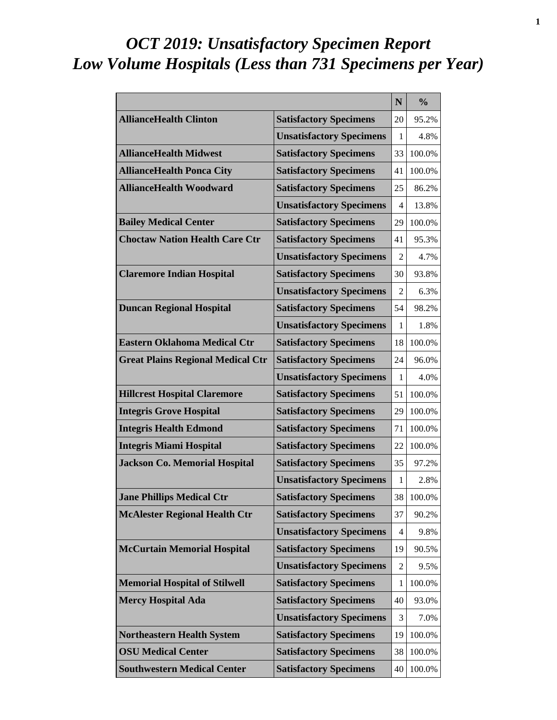# *OCT 2019: Unsatisfactory Specimen Report Low Volume Hospitals (Less than 731 Specimens per Year)*

|                                          |                                 | N              | $\frac{0}{0}$ |
|------------------------------------------|---------------------------------|----------------|---------------|
| <b>AllianceHealth Clinton</b>            | <b>Satisfactory Specimens</b>   | 20             | 95.2%         |
|                                          | <b>Unsatisfactory Specimens</b> | 1              | 4.8%          |
| <b>AllianceHealth Midwest</b>            | <b>Satisfactory Specimens</b>   | 33             | 100.0%        |
| <b>AllianceHealth Ponca City</b>         | <b>Satisfactory Specimens</b>   | 41             | 100.0%        |
| <b>AllianceHealth Woodward</b>           | <b>Satisfactory Specimens</b>   | 25             | 86.2%         |
|                                          | <b>Unsatisfactory Specimens</b> | 4              | 13.8%         |
| <b>Bailey Medical Center</b>             | <b>Satisfactory Specimens</b>   | 29             | 100.0%        |
| <b>Choctaw Nation Health Care Ctr</b>    | <b>Satisfactory Specimens</b>   | 41             | 95.3%         |
|                                          | <b>Unsatisfactory Specimens</b> | $\mathfrak{D}$ | 4.7%          |
| <b>Claremore Indian Hospital</b>         | <b>Satisfactory Specimens</b>   | 30             | 93.8%         |
|                                          | <b>Unsatisfactory Specimens</b> | 2              | 6.3%          |
| <b>Duncan Regional Hospital</b>          | <b>Satisfactory Specimens</b>   | 54             | 98.2%         |
|                                          | <b>Unsatisfactory Specimens</b> | 1              | 1.8%          |
| <b>Eastern Oklahoma Medical Ctr</b>      | <b>Satisfactory Specimens</b>   | 18             | 100.0%        |
| <b>Great Plains Regional Medical Ctr</b> | <b>Satisfactory Specimens</b>   | 24             | 96.0%         |
|                                          | <b>Unsatisfactory Specimens</b> | 1              | 4.0%          |
| <b>Hillcrest Hospital Claremore</b>      | <b>Satisfactory Specimens</b>   | 51             | 100.0%        |
| <b>Integris Grove Hospital</b>           | <b>Satisfactory Specimens</b>   | 29             | 100.0%        |
| <b>Integris Health Edmond</b>            | <b>Satisfactory Specimens</b>   | 71             | 100.0%        |
| <b>Integris Miami Hospital</b>           | <b>Satisfactory Specimens</b>   | 22             | 100.0%        |
| <b>Jackson Co. Memorial Hospital</b>     | <b>Satisfactory Specimens</b>   | 35             | 97.2%         |
|                                          | <b>Unsatisfactory Specimens</b> | 1              | 2.8%          |
| <b>Jane Phillips Medical Ctr</b>         | <b>Satisfactory Specimens</b>   | 38             | 100.0%        |
| <b>McAlester Regional Health Ctr</b>     | <b>Satisfactory Specimens</b>   | 37             | 90.2%         |
|                                          | <b>Unsatisfactory Specimens</b> | 4              | 9.8%          |
| <b>McCurtain Memorial Hospital</b>       | <b>Satisfactory Specimens</b>   | 19             | 90.5%         |
|                                          | <b>Unsatisfactory Specimens</b> | 2              | 9.5%          |
| <b>Memorial Hospital of Stilwell</b>     | <b>Satisfactory Specimens</b>   | 1              | 100.0%        |
| <b>Mercy Hospital Ada</b>                | <b>Satisfactory Specimens</b>   | 40             | 93.0%         |
|                                          | <b>Unsatisfactory Specimens</b> | 3              | 7.0%          |
| <b>Northeastern Health System</b>        | <b>Satisfactory Specimens</b>   | 19             | 100.0%        |
| <b>OSU Medical Center</b>                | <b>Satisfactory Specimens</b>   | 38             | 100.0%        |
| <b>Southwestern Medical Center</b>       | <b>Satisfactory Specimens</b>   | 40             | 100.0%        |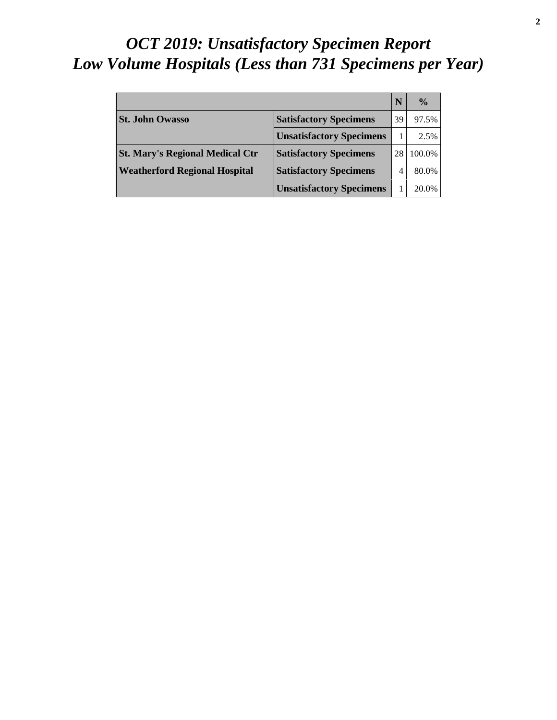# *OCT 2019: Unsatisfactory Specimen Report Low Volume Hospitals (Less than 731 Specimens per Year)*

|                                        |                                 |    | $\frac{0}{0}$ |
|----------------------------------------|---------------------------------|----|---------------|
| <b>St. John Owasso</b>                 | <b>Satisfactory Specimens</b>   | 39 | 97.5%         |
|                                        | <b>Unsatisfactory Specimens</b> |    | 2.5%          |
| <b>St. Mary's Regional Medical Ctr</b> | <b>Satisfactory Specimens</b>   |    | 100.0%        |
| <b>Weatherford Regional Hospital</b>   | <b>Satisfactory Specimens</b>   |    | 80.0%         |
|                                        | <b>Unsatisfactory Specimens</b> |    | 20.0%         |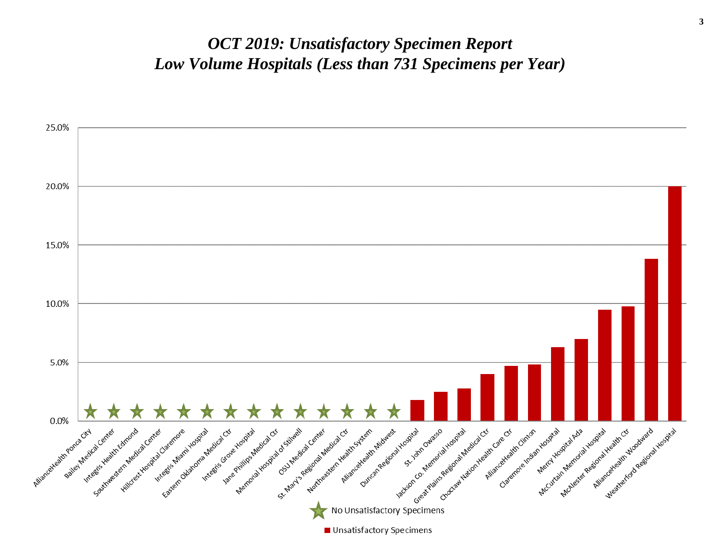#### *OCT 2019: Unsatisfactory Specimen Report Low Volume Hospitals (Less than 731 Specimens per Year)*

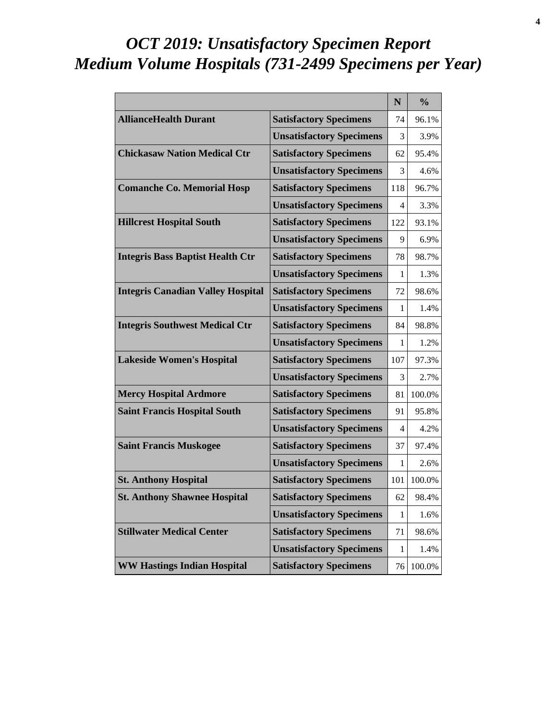# *OCT 2019: Unsatisfactory Specimen Report Medium Volume Hospitals (731-2499 Specimens per Year)*

|                                          |                                 | N   | $\frac{0}{0}$ |
|------------------------------------------|---------------------------------|-----|---------------|
| <b>AllianceHealth Durant</b>             | <b>Satisfactory Specimens</b>   | 74  | 96.1%         |
|                                          | <b>Unsatisfactory Specimens</b> | 3   | 3.9%          |
| <b>Chickasaw Nation Medical Ctr</b>      | <b>Satisfactory Specimens</b>   | 62  | 95.4%         |
|                                          | <b>Unsatisfactory Specimens</b> | 3   | 4.6%          |
| <b>Comanche Co. Memorial Hosp</b>        | <b>Satisfactory Specimens</b>   | 118 | 96.7%         |
|                                          | <b>Unsatisfactory Specimens</b> | 4   | 3.3%          |
| <b>Hillcrest Hospital South</b>          | <b>Satisfactory Specimens</b>   | 122 | 93.1%         |
|                                          | <b>Unsatisfactory Specimens</b> | 9   | 6.9%          |
| <b>Integris Bass Baptist Health Ctr</b>  | <b>Satisfactory Specimens</b>   | 78  | 98.7%         |
|                                          | <b>Unsatisfactory Specimens</b> | 1   | 1.3%          |
| <b>Integris Canadian Valley Hospital</b> | <b>Satisfactory Specimens</b>   | 72  | 98.6%         |
|                                          | <b>Unsatisfactory Specimens</b> | 1   | 1.4%          |
| <b>Integris Southwest Medical Ctr</b>    | <b>Satisfactory Specimens</b>   | 84  | 98.8%         |
|                                          | <b>Unsatisfactory Specimens</b> | 1   | 1.2%          |
| <b>Lakeside Women's Hospital</b>         | <b>Satisfactory Specimens</b>   | 107 | 97.3%         |
|                                          | <b>Unsatisfactory Specimens</b> | 3   | 2.7%          |
| <b>Mercy Hospital Ardmore</b>            | <b>Satisfactory Specimens</b>   | 81  | 100.0%        |
| <b>Saint Francis Hospital South</b>      | <b>Satisfactory Specimens</b>   | 91  | 95.8%         |
|                                          | <b>Unsatisfactory Specimens</b> | 4   | 4.2%          |
| <b>Saint Francis Muskogee</b>            | <b>Satisfactory Specimens</b>   | 37  | 97.4%         |
|                                          | <b>Unsatisfactory Specimens</b> | 1   | 2.6%          |
| <b>St. Anthony Hospital</b>              | <b>Satisfactory Specimens</b>   | 101 | 100.0%        |
| <b>St. Anthony Shawnee Hospital</b>      | <b>Satisfactory Specimens</b>   | 62  | 98.4%         |
|                                          | <b>Unsatisfactory Specimens</b> | 1   | 1.6%          |
| <b>Stillwater Medical Center</b>         | <b>Satisfactory Specimens</b>   | 71  | 98.6%         |
|                                          | <b>Unsatisfactory Specimens</b> | 1   | 1.4%          |
| <b>WW Hastings Indian Hospital</b>       | <b>Satisfactory Specimens</b>   | 76  | 100.0%        |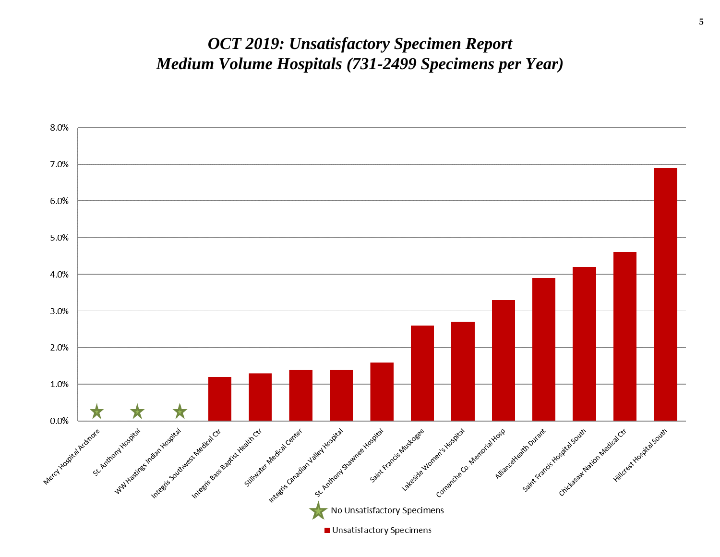#### *OCT 2019: Unsatisfactory Specimen Report Medium Volume Hospitals (731-2499 Specimens per Year)*

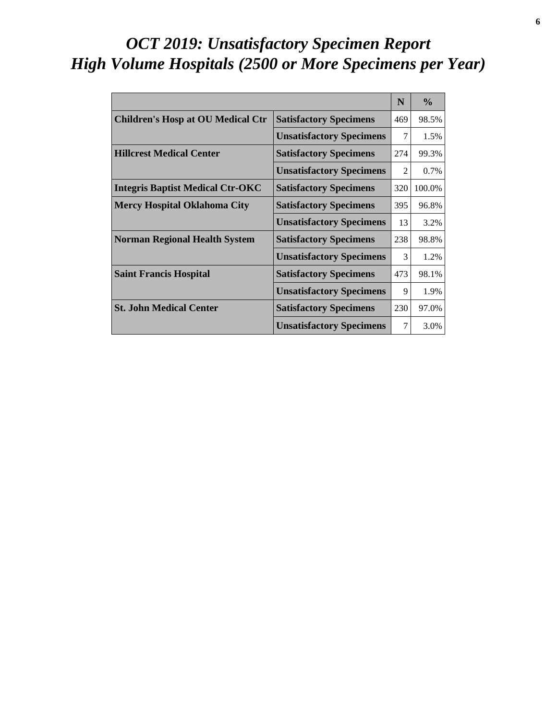# *OCT 2019: Unsatisfactory Specimen Report High Volume Hospitals (2500 or More Specimens per Year)*

|                                          |                                 | N              | $\frac{0}{0}$ |
|------------------------------------------|---------------------------------|----------------|---------------|
| <b>Children's Hosp at OU Medical Ctr</b> | <b>Satisfactory Specimens</b>   | 469            | 98.5%         |
|                                          | <b>Unsatisfactory Specimens</b> | 7              | 1.5%          |
| <b>Hillcrest Medical Center</b>          | <b>Satisfactory Specimens</b>   | 274            | 99.3%         |
|                                          | <b>Unsatisfactory Specimens</b> | $\mathfrak{D}$ | 0.7%          |
| <b>Integris Baptist Medical Ctr-OKC</b>  | <b>Satisfactory Specimens</b>   | 320            | 100.0%        |
| <b>Mercy Hospital Oklahoma City</b>      | <b>Satisfactory Specimens</b>   | 395            | 96.8%         |
|                                          | <b>Unsatisfactory Specimens</b> | 13             | 3.2%          |
| <b>Norman Regional Health System</b>     | <b>Satisfactory Specimens</b>   | 238            | 98.8%         |
|                                          | <b>Unsatisfactory Specimens</b> | 3              | 1.2%          |
| <b>Saint Francis Hospital</b>            | <b>Satisfactory Specimens</b>   | 473            | 98.1%         |
|                                          | <b>Unsatisfactory Specimens</b> | 9              | 1.9%          |
| <b>St. John Medical Center</b>           | <b>Satisfactory Specimens</b>   | 230            | 97.0%         |
|                                          | <b>Unsatisfactory Specimens</b> | 7              | 3.0%          |